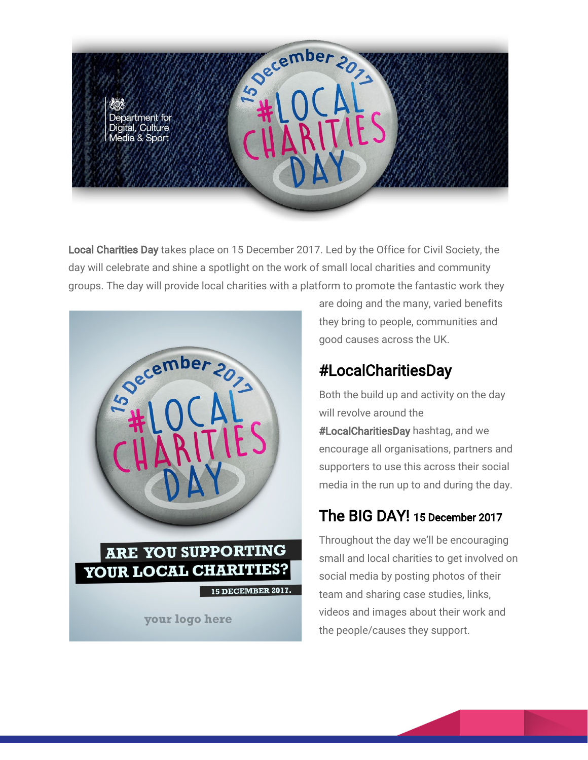

Local Charities Day takes place on 15 December 2017. Led by the Office for Civil Society, the day will celebrate and shine a spotlight on the work of small local charities and community groups. The day will provide local charities with a platform to promote the fantastic work they



are doing and the many, varied benefits they bring to people, communities and good causes across the UK.

## #LocalCharitiesDay

Both the build up and activity on the day will revolve around the #LocalCharitiesDay hashtag, and we encourage all organisations, partners and supporters to use this across their social media in the run up to and during the day.

## The BIG DAY! 15 December 2017

Throughout the day we'll be encouraging small and local charities to get involved on social media by posting photos of their team and sharing case studies, links, videos and images about their work and the people/causes they support.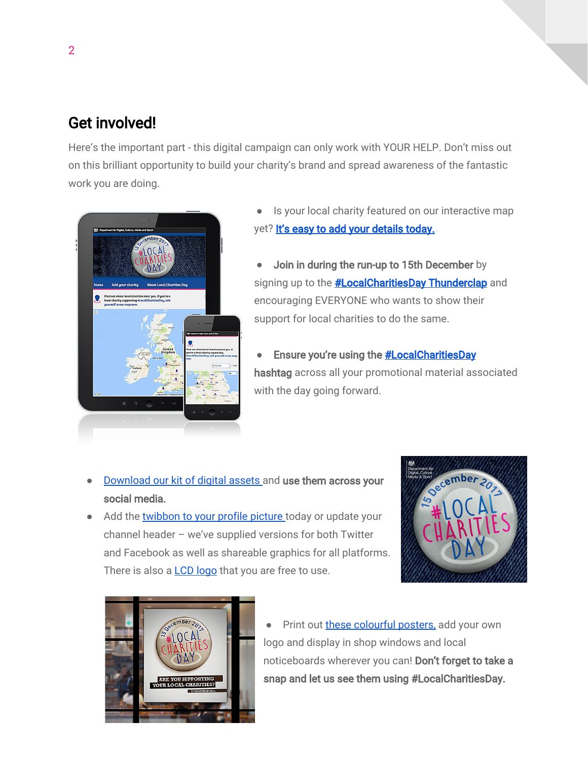## Get involved!

Here's the important part - this digital campaign can only work with YOUR HELP. Don't miss out on this brilliant opportunity to build your charity's brand and spread awareness of the fantastic work you are doing.



- Is your local charity featured on our interactive map yet? [It's easy to add your details today.](https://dcmsblog.uk/local-charities-day-map/)
- Join in during the run-up to 15th December by signing up to the **[#LocalCharitiesDay Thunderclap](https://www.thunderclap.it/projects/63894-localcharitiesday-2017)** and encouraging EVERYONE who wants to show their support for local charities to do the same.
- **•** Ensure you're using the **#LocalCharitiesDay** hashtag across all your promotional material associated with the day going forward.

- [Download](https://flic.kr/s/aHskvM6rzZ) our kit of digital assets and use them across your social media.
- Add the [twibbon](https://twibbon.com/Support/localcharitiesday-2017) to your profile picture today or update your channel header – we've supplied versions for both Twitter and Facebook as well as shareable graphics for all platforms. There is also a LCD [logo](https://www.flickr.com/photos/thedcms/37234341874/in/album-72157665445407919/) that you are free to use.





● Print out these [colourful](https://flic.kr/s/aHsm6tQFpV) posters, add your own logo and display in shop windows and local noticeboards wherever you can! Don't forget to take a snap and let us see them using #LocalCharitiesDay.